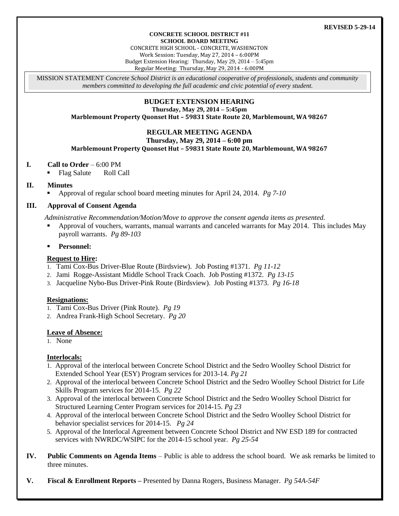#### **CONCRETE SCHOOL DISTRICT #11 SCHOOL BOARD MEETING**

CONCRETE HIGH SCHOOL - CONCRETE, WASHINGTON Work Session: Tuesday, May 27, 2014 – 6:00PM Budget Extension Hearing: Thursday, May 29, 2014 – 5:45pm Regular Meeting: Thursday, May 29, 2014 - 6:00PM

MISSION STATEMENT *Concrete School District is an educational cooperative of professionals, students and community members committed to developing the full academic and civic potential of every student.*

# **BUDGET EXTENSION HEARING**

**Thursday, May 29, 2014 – 5:45pm**

**Marblemount Property Quonset Hut – 59831 State Route 20, Marblemount, WA 98267**

# **REGULAR MEETING AGENDA**

#### **Thursday, May 29, 2014 – 6:00 pm**

**Marblemount Property Quonset Hut – 59831 State Route 20, Marblemount, WA 98267**

## **I. Call to Order** – 6:00 PM

Flag Salute Roll Call

## **II. Minutes**

Approval of regular school board meeting minutes for April 24, 2014. *Pg 7-10*

## **III. Approval of Consent Agenda**

*Administrative Recommendation/Motion/Move to approve the consent agenda items as presented.*

- Approval of vouchers, warrants, manual warrants and canceled warrants for May 2014. This includes May payroll warrants. *Pg 89-103*
- **Personnel:**

## **Request to Hire:**

- 1. Tami Cox-Bus Driver-Blue Route (Birdsview). Job Posting #1371. *Pg 11-12*
- 2. Jami Rogge-Assistant Middle School Track Coach. Job Posting #1372. *Pg 13-15*
- 3. Jacqueline Nybo-Bus Driver-Pink Route (Birdsview). Job Posting #1373. *Pg 16-18*

## **Resignations:**

- 1. Tami Cox-Bus Driver (Pink Route). *Pg 19*
- 2. Andrea Frank-High School Secretary. *Pg 20*

## **Leave of Absence:**

1. None

## **Interlocals:**

- 1. Approval of the interlocal between Concrete School District and the Sedro Woolley School District for Extended School Year (ESY) Program services for 2013-14. *Pg 21*
- 2. Approval of the interlocal between Concrete School District and the Sedro Woolley School District for Life Skills Program services for 2014-15. *Pg 22*
- 3. Approval of the interlocal between Concrete School District and the Sedro Woolley School District for Structured Learning Center Program services for 2014-15. *Pg 23*
- 4. Approval of the interlocal between Concrete School District and the Sedro Woolley School District for behavior specialist services for 2014-15. *Pg 24*
- 5. Approval of the Interlocal Agreement between Concrete School District and NW ESD 189 for contracted services with NWRDC/WSIPC for the 2014-15 school year. *Pg 25-54*
- **IV. Public Comments on Agenda Items** Public is able to address the school board. We ask remarks be limited to three minutes.
- **V. Fiscal & Enrollment Reports –** Presented by Danna Rogers, Business Manager. *Pg 54A-54F*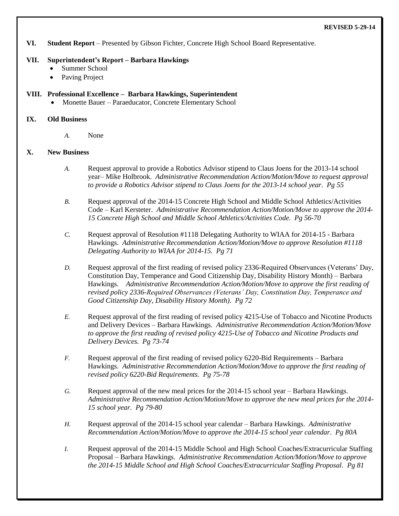**VI. Student Report** – Presented by Gibson Fichter, Concrete High School Board Representative.

#### **VII. Superintendent's Report – Barbara Hawkings**

- Summer School
- Paving Project

## **VIII. Professional Excellence – Barbara Hawkings, Superintendent**

Monette Bauer – Paraeducator, Concrete Elementary School

#### **IX. Old Business**

*A.* None

## **X. New Business**

- *A.* Request approval to provide a Robotics Advisor stipend to Claus Joens for the 2013-14 school year– Mike Holbrook. *Administrative Recommendation Action/Motion/Move to request approval to provide a Robotics Advisor stipend to Claus Joens for the 2013-14 school year. Pg 55*
- *B.* Request approval of the 2014-15 Concrete High School and Middle School Athletics/Activities Code – Karl Kersteter. *Administrative Recommendation Action/Motion/Move to approve the 2014- 15 Concrete High School and Middle School Athletics/Activities Code. Pg 56-70*
- *C.* Request approval of Resolution #1118 Delegating Authority to WIAA for 2014-15 Barbara Hawkings. *Administrative Recommendation Action/Motion/Move to approve Resolution #1118 Delegating Authority to WIAA for 2014-15. Pg 71*
- *D.* Request approval of the first reading of revised policy 2336-Required Observances (Veterans' Day, Constitution Day, Temperance and Good Citizenship Day, Disability History Month) – Barbara Hawkings. *Administrative Recommendation Action/Motion/Move to approve the first reading of revised policy 2336-Required Observances (Veterans' Day, Constitution Day, Temperance and Good Citizenship Day, Disability History Month). Pg 72*
- *E.* Request approval of the first reading of revised policy 4215-Use of Tobacco and Nicotine Products and Delivery Devices – Barbara Hawkings. *Administrative Recommendation Action/Motion/Move to approve the first reading of revised policy 4215-Use of Tobacco and Nicotine Products and Delivery Devices. Pg 73-74*
- *F.* Request approval of the first reading of revised policy 6220-Bid Requirements Barbara Hawkings. *Administrative Recommendation Action/Motion/Move to approve the first reading of revised policy 6220-Bid Requirements. Pg 75-78*
- *G.* Request approval of the new meal prices for the 2014-15 school year Barbara Hawkings. *Administrative Recommendation Action/Motion/Move to approve the new meal prices for the 2014- 15 school year. Pg 79-80*
- *H.* Request approval of the 2014-15 school year calendar Barbara Hawkings. *Administrative Recommendation Action/Motion/Move to approve the 2014-15 school year calendar. Pg 80A*
- *I.* Request approval of the 2014-15 Middle School and High School Coaches/Extracurricular Staffing Proposal – Barbara Hawkings. *Administrative Recommendation Action/Motion/Move to approve the 2014-15 Middle School and High School Coaches/Extracurricular Staffing Proposal*. *Pg 81*